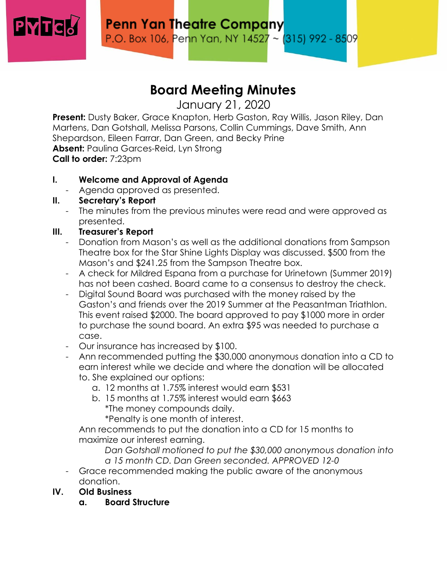

# **Board Meeting Minutes**

January 21, 2020

**Present:** Dusty Baker, Grace Knapton, Herb Gaston, Ray Willis, Jason Riley, Dan Martens, Dan Gotshall, Melissa Parsons, Collin Cummings, Dave Smith, Ann Shepardson, Eileen Farrar, Dan Green, and Becky Prine **Absent: Paulina Garces-Reid, Lyn Strong Call to order:** 7:23pm

# **I. Welcome and Approval of Agenda**

- Agenda approved as presented.

### **II. Secretary's Report**

- The minutes from the previous minutes were read and were approved as presented.

### **III. Treasurer's Report**

- Donation from Mason's as well as the additional donations from Sampson Theatre box for the Star Shine Lights Display was discussed. \$500 from the Mason's and \$241.25 from the Sampson Theatre box.
- A check for Mildred Espana from a purchase for Urinetown (Summer 2019) has not been cashed. Board came to a consensus to destroy the check.
- Digital Sound Board was purchased with the money raised by the Gaston's and friends over the 2019 Summer at the Peasantman Triathlon. This event raised \$2000. The board approved to pay \$1000 more in order to purchase the sound board. An extra \$95 was needed to purchase a case.
- Our insurance has increased by \$100.
- Ann recommended putting the \$30,000 anonymous donation into a CD to earn interest while we decide and where the donation will be allocated to. She explained our options:
	- a. 12 months at 1.75% interest would earn \$531
	- b. 15 months at 1.75% interest would earn \$663 \*The money compounds daily.

\*Penalty is one month of interest.

Ann recommends to put the donation into a CD for 15 months to maximize our interest earning.

*Dan Gotshall motioned to put the \$30,000 anonymous donation into a 15 month CD. Dan Green seconded. APPROVED 12-0*

- Grace recommended making the public aware of the anonymous donation.

# **IV. OId Business**

**a. Board Structure**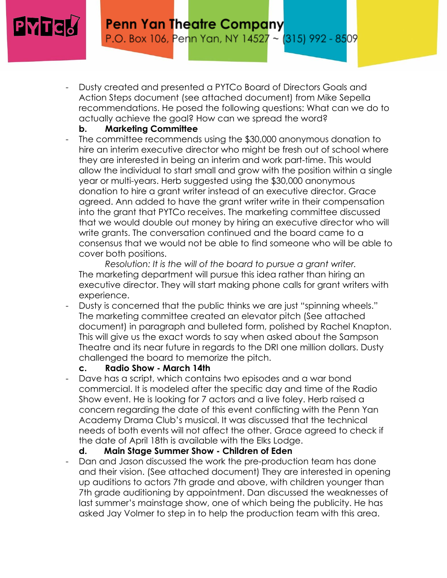

- Dusty created and presented a PYTCo Board of Directors Goals and Action Steps document (see attached document) from Mike Sepella recommendations. He posed the following questions: What can we do to actually achieve the goal? How can we spread the word?

#### **b. Marketing Committee**

The committee recommends using the \$30,000 anonymous donation to hire an interim executive director who might be fresh out of school where they are interested in being an interim and work part-time. This would allow the individual to start small and grow with the position within a single year or multi-years. Herb suggested using the \$30,000 anonymous donation to hire a grant writer instead of an executive director. Grace agreed. Ann added to have the grant writer write in their compensation into the grant that PYTCo receives. The marketing committee discussed that we would double out money by hiring an executive director who will write grants. The conversation continued and the board came to a consensus that we would not be able to find someone who will be able to cover both positions.

*Resolution: It is the will of the board to pursue a grant writer.* The marketing department will pursue this idea rather than hiring an executive director. They will start making phone calls for grant writers with experience.

Dusty is concerned that the public thinks we are just "spinning wheels." The marketing committee created an elevator pitch (See attached document) in paragraph and bulleted form, polished by Rachel Knapton. This will give us the exact words to say when asked about the Sampson Theatre and its near future in regards to the DRI one million dollars. Dusty challenged the board to memorize the pitch.

#### **c. Radio Show - March 14th**

Dave has a script, which contains two episodes and a war bond commercial. It is modeled after the specific day and time of the Radio Show event. He is looking for 7 actors and a live foley. Herb raised a concern regarding the date of this event conflicting with the Penn Yan Academy Drama Club's musical. It was discussed that the technical needs of both events will not affect the other. Grace agreed to check if the date of April 18th is available with the Elks Lodge.

#### **d. Main Stage Summer Show - Children of Eden**

Dan and Jason discussed the work the pre-production team has done and their vision. (See attached document) They are interested in opening up auditions to actors 7th grade and above, with children younger than 7th grade auditioning by appointment. Dan discussed the weaknesses of last summer's mainstage show, one of which being the publicity. He has asked Jay Volmer to step in to help the production team with this area.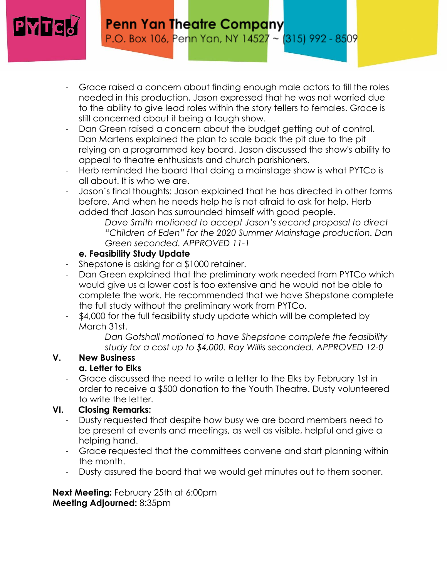

- Grace raised a concern about finding enough male actors to fill the roles needed in this production. Jason expressed that he was not worried due to the ability to give lead roles within the story tellers to females. Grace is still concerned about it being a tough show.
- Dan Green raised a concern about the budget getting out of control. Dan Martens explained the plan to scale back the pit due to the pit relying on a programmed key board. Jason discussed the show's ability to appeal to theatre enthusiasts and church parishioners.
- Herb reminded the board that doing a mainstage show is what PYTCo is all about. It is who we are.
- Jason's final thoughts: Jason explained that he has directed in other forms before. And when he needs help he is not afraid to ask for help. Herb added that Jason has surrounded himself with good people.

*Dave Smith motioned to accept Jason's second proposal to direct "Children of Eden" for the 2020 Summer Mainstage production. Dan Green seconded. APPROVED 11-1*

### **e. Feasibility Study Update**

- Shepstone is asking for a \$1000 retainer.
- Dan Green explained that the preliminary work needed from PYTCo which would give us a lower cost is too extensive and he would not be able to complete the work. He recommended that we have Shepstone complete the full study without the preliminary work from PYTCo.
- \$4,000 for the full feasibility study update which will be completed by March 31st.

*Dan Gotshall motioned to have Shepstone complete the feasibility study for a cost up to \$4,000. Ray Willis seconded. APPROVED 12-0*

#### **V. New Business a. Letter to Elks**

- Grace discussed the need to write a letter to the Elks by February 1st in order to receive a \$500 donation to the Youth Theatre. Dusty volunteered to write the letter.

# **VI. Closing Remarks:**

- Dusty requested that despite how busy we are board members need to be present at events and meetings, as well as visible, helpful and give a helping hand.
- Grace requested that the committees convene and start planning within the month.
- Dusty assured the board that we would get minutes out to them sooner.

**Next Meeting: February 25th at 6:00pm Meeting Adjourned:** 8:35pm